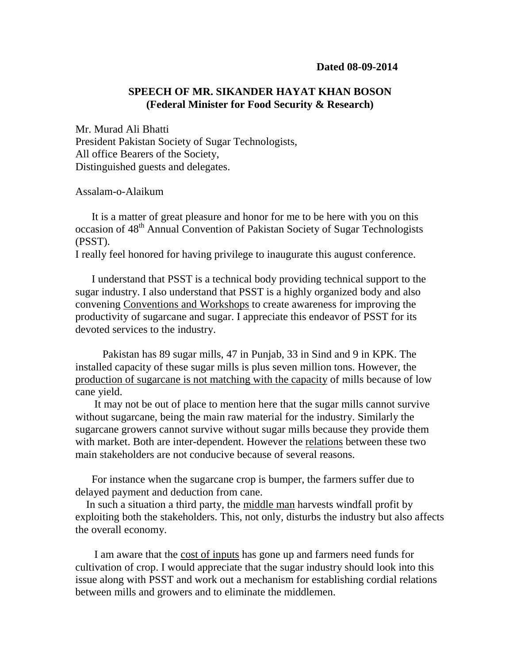## **SPEECH OF MR. SIKANDER HAYAT KHAN BOSON (Federal Minister for Food Security & Research)**

Mr. Murad Ali Bhatti President Pakistan Society of Sugar Technologists, All office Bearers of the Society, Distinguished guests and delegates.

Assalam-o-Alaikum

 It is a matter of great pleasure and honor for me to be here with you on this occasion of 48<sup>th</sup> Annual Convention of Pakistan Society of Sugar Technologists (PSST).

I really feel honored for having privilege to inaugurate this august conference.

 I understand that PSST is a technical body providing technical support to the sugar industry. I also understand that PSST is a highly organized body and also convening Conventions and Workshops to create awareness for improving the productivity of sugarcane and sugar. I appreciate this endeavor of PSST for its devoted services to the industry.

 Pakistan has 89 sugar mills, 47 in Punjab, 33 in Sind and 9 in KPK. The installed capacity of these sugar mills is plus seven million tons. However, the production of sugarcane is not matching with the capacity of mills because of low cane yield.

 It may not be out of place to mention here that the sugar mills cannot survive without sugarcane, being the main raw material for the industry. Similarly the sugarcane growers cannot survive without sugar mills because they provide them with market. Both are inter-dependent. However the relations between these two main stakeholders are not conducive because of several reasons.

 For instance when the sugarcane crop is bumper, the farmers suffer due to delayed payment and deduction from cane.

 In such a situation a third party, the middle man harvests windfall profit by exploiting both the stakeholders. This, not only, disturbs the industry but also affects the overall economy.

 I am aware that the cost of inputs has gone up and farmers need funds for cultivation of crop. I would appreciate that the sugar industry should look into this issue along with PSST and work out a mechanism for establishing cordial relations between mills and growers and to eliminate the middlemen.